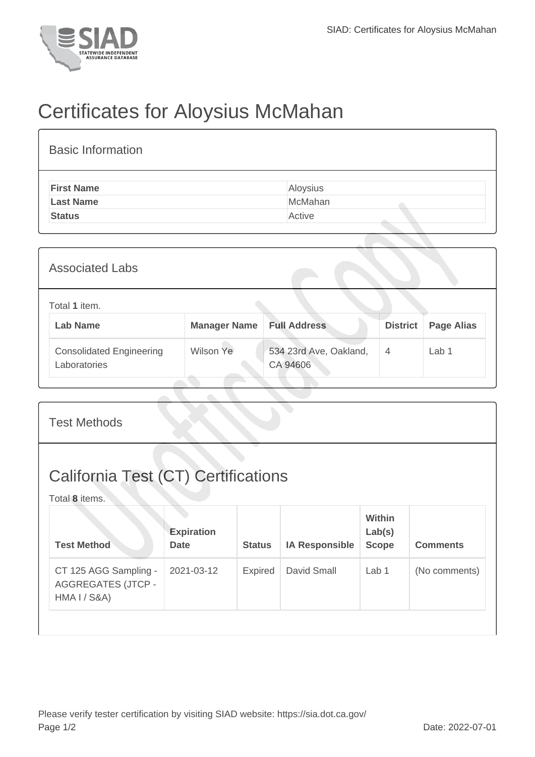

## Certificates for Aloysius McMahan

| <b>Basic Information</b> |          |
|--------------------------|----------|
| <b>First Name</b>        | Aloysius |
| <b>Last Name</b>         | McMahan  |
| <b>Status</b>            | Active   |
|                          |          |

| <b>Associated Labs</b>                          |                     |                                    |                 |                   |  |  |
|-------------------------------------------------|---------------------|------------------------------------|-----------------|-------------------|--|--|
| Total 1 item.<br><b>Lab Name</b>                | <b>Manager Name</b> | <b>Full Address</b>                | <b>District</b> | <b>Page Alias</b> |  |  |
| <b>Consolidated Engineering</b><br>Laboratories | Wilson Ye           | 534 23rd Ave, Oakland,<br>CA 94606 | 4               | Lab 1             |  |  |

| <b>Test Methods</b>                                                |                                  |                |                       |                                         |                 |  |
|--------------------------------------------------------------------|----------------------------------|----------------|-----------------------|-----------------------------------------|-----------------|--|
| California Test (CT) Certifications<br>Total 8 items.              |                                  |                |                       |                                         |                 |  |
| <b>Test Method</b>                                                 | <b>Expiration</b><br><b>Date</b> | <b>Status</b>  | <b>IA Responsible</b> | <b>Within</b><br>Lab(s)<br><b>Scope</b> | <b>Comments</b> |  |
| CT 125 AGG Sampling -<br><b>AGGREGATES (JTCP -</b><br>HMA I / S&A) | 2021-03-12                       | <b>Expired</b> | David Small           | Lab <sub>1</sub>                        | (No comments)   |  |
|                                                                    |                                  |                |                       |                                         |                 |  |